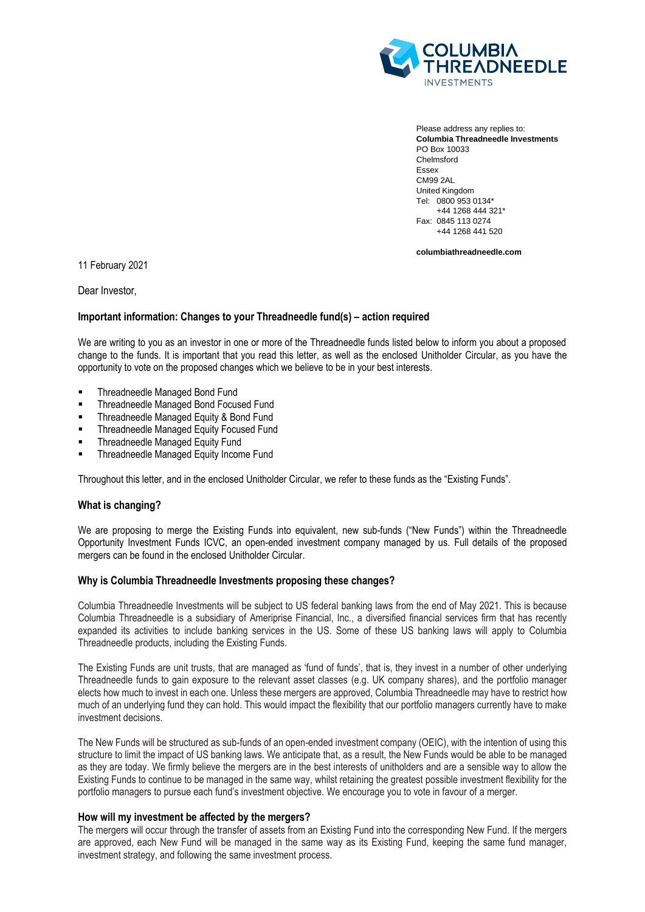

Please address any replies to: **Columbia Threadneedle Investments** PO Box 10033 Chelmsford Essex CM99 2AL United Kingdom Tel: 0800 953 0134\* +44 1268 444 321\* Fax: 0845 113 0274 +44 1268 441 520

**columbiathreadneedle.com**

11 February 2021

Dear Investor,

# **Important information: Changes to your Threadneedle fund(s) – action required**

We are writing to you as an investor in one or more of the Threadneedle funds listed below to inform you about a proposed change to the funds. It is important that you read this letter, as well as the enclosed Unitholder Circular, as you have the opportunity to vote on the proposed changes which we believe to be in your best interests.

- Threadneedle Managed Bond Fund
- Threadneedle Managed Bond Focused Fund
- Threadneedle Managed Equity & Bond Fund
- Threadneedle Managed Equity Focused Fund
- Threadneedle Managed Equity Fund
- Threadneedle Managed Equity Income Fund

Throughout this letter, and in the enclosed Unitholder Circular, we refer to these funds as the "Existing Funds".

# **What is changing?**

We are proposing to merge the Existing Funds into equivalent, new sub-funds ("New Funds") within the Threadneedle Opportunity Investment Funds ICVC, an open-ended investment company managed by us. Full details of the proposed mergers can be found in the enclosed Unitholder Circular.

### **Why is Columbia Threadneedle Investments proposing these changes?**

Columbia Threadneedle Investments will be subject to US federal banking laws from the end of May 2021. This is because Columbia Threadneedle is a subsidiary of Ameriprise Financial, Inc., a diversified financial services firm that has recently expanded its activities to include banking services in the US. Some of these US banking laws will apply to Columbia Threadneedle products, including the Existing Funds.

The Existing Funds are unit trusts, that are managed as 'fund of funds', that is, they invest in a number of other underlying Threadneedle funds to gain exposure to the relevant asset classes (e.g. UK company shares), and the portfolio manager elects how much to invest in each one. Unless these mergers are approved, Columbia Threadneedle may have to restrict how much of an underlying fund they can hold. This would impact the flexibility that our portfolio managers currently have to make investment decisions.

The New Funds will be structured as sub-funds of an open-ended investment company (OEIC), with the intention of using this structure to limit the impact of US banking laws. We anticipate that, as a result, the New Funds would be able to be managed as they are today. We firmly believe the mergers are in the best interests of unitholders and are a sensible way to allow the Existing Funds to continue to be managed in the same way, whilst retaining the greatest possible investment flexibility for the portfolio managers to pursue each fund's investment objective. We encourage you to vote in favour of a merger.

#### **How will my investment be affected by the mergers?**

The mergers will occur through the transfer of assets from an Existing Fund into the corresponding New Fund. If the mergers are approved, each New Fund will be managed in the same way as its Existing Fund, keeping the same fund manager, investment strategy, and following the same investment process.